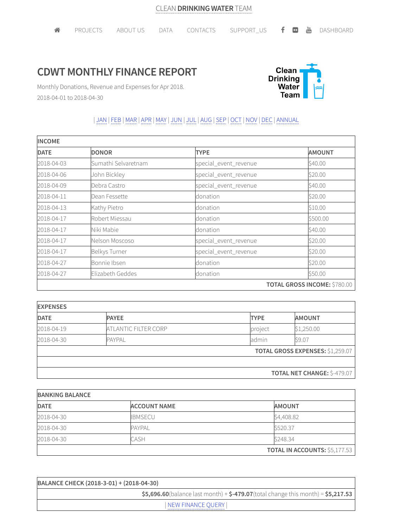## **CDWT MONTHLY FINANCE REPORT**



Monthly Donations, Revenue and Expenses for Apr 2018. 2018-04-01 to 2018-04-30

## | JAN | FEB |MAR |APR |MAY | JUN | JUL | AUG |SEP | OCT | NOV | DEC | ANNUAL

| <b>INCOME</b> |                     |                       |                                     |  |
|---------------|---------------------|-----------------------|-------------------------------------|--|
| <b>DATE</b>   | <b>DONOR</b>        | <b>TYPE</b>           | <b>AMOUNT</b>                       |  |
| 2018-04-03    | Sumathi Selvaretnam | special_event_revenue | \$40.00                             |  |
| 2018-04-06    | John Bickley        | special_event_revenue | \$20.00                             |  |
| 2018-04-09    | Debra Castro        | special_event_revenue | \$40.00                             |  |
| 2018-04-11    | Dean Fessette       | donation              | \$20.00                             |  |
| 2018-04-13    | Kathy Pietro        | donation              | \$10.00                             |  |
| 2018-04-17    | Robert Miessau      | donation              | \$500.00                            |  |
| 2018-04-17    | Niki Mabie          | donation              | \$40.00                             |  |
| 2018-04-17    | Nelson Moscoso      | special_event_revenue | \$20.00                             |  |
| 2018-04-17    | Belkys Turner       | special_event_revenue | \$20.00                             |  |
| 2018-04-27    | Bonnie Ibsen        | donation              | \$20.00                             |  |
| 2018-04-27    | Elizabeth Geddes    | donation              | \$50.00                             |  |
|               |                     |                       | <b>TOTAL GROSS INCOME: \$780.00</b> |  |

| <b>EXPENSES</b> |                      |                                         |                                    |
|-----------------|----------------------|-----------------------------------------|------------------------------------|
| <b>DATE</b>     | <b>PAYEE</b>         | <b>TYPE</b>                             | <b>AMOUNT</b>                      |
| 2018-04-19      | ATLANTIC FILTER CORP | project                                 | \$1,250.00                         |
| 2018-04-30      | <b>PAYPAL</b>        | admin                                   | \$9.07                             |
|                 |                      | <b>TOTAL GROSS EXPENSES: \$1,259.07</b> |                                    |
|                 |                      |                                         |                                    |
|                 |                      |                                         | <b>TOTAL NET CHANGE: \$-479.07</b> |

| <b>BANKING BALANCE</b> |                     |                                      |
|------------------------|---------------------|--------------------------------------|
| <b>DATE</b>            | <b>ACCOUNT NAME</b> | <b>AMOUNT</b>                        |
| 2018-04-30             | <b>IBMSECU</b>      | \$4,408.82                           |
| 2018-04-30             | <b>PAYPAL</b>       | \$520.37                             |
| 2018-04-30             | CASH                | \$248.34                             |
|                        |                     | <b>TOTAL IN ACCOUNTS: \$5,177.53</b> |

| BALANCE CHECK (2018-3-01) + (2018-04-30)                                              |  |  |
|---------------------------------------------------------------------------------------|--|--|
| $$5,696.60$ (balance last month) + $$-479.07$ (total change this month) = $$5,217.53$ |  |  |
| NEW FINANCE OUERY                                                                     |  |  |